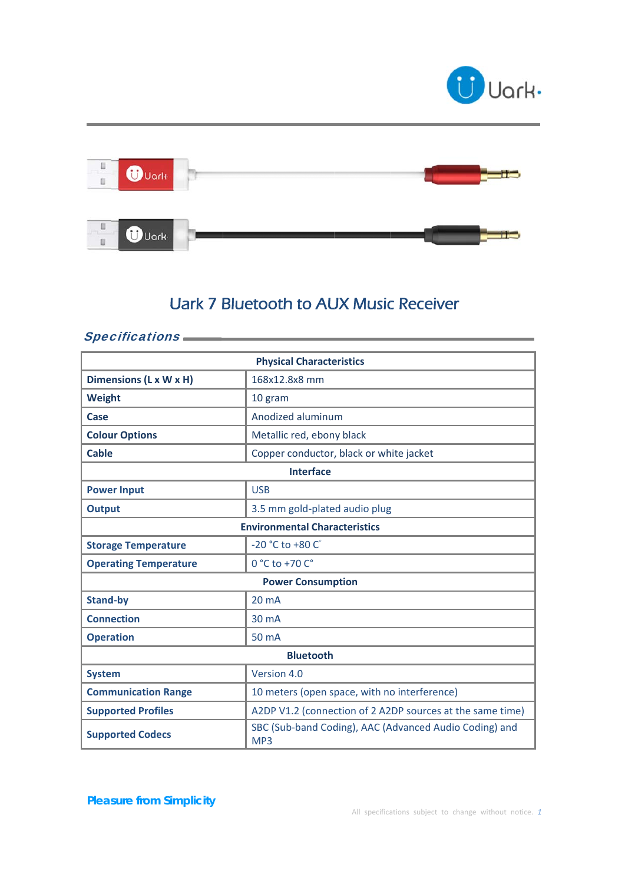



## **Uark 7 Bluetooth to AUX Music Receiver**

## Specifications **CONSULARY Systems**

| <b>Physical Characteristics</b>      |                                                                           |  |
|--------------------------------------|---------------------------------------------------------------------------|--|
| Dimensions (L x W x H)               | 168x12.8x8 mm                                                             |  |
| <b>Weight</b>                        | 10 gram                                                                   |  |
| Case                                 | Anodized aluminum                                                         |  |
| <b>Colour Options</b>                | Metallic red, ebony black                                                 |  |
| <b>Cable</b>                         | Copper conductor, black or white jacket                                   |  |
| <b>Interface</b>                     |                                                                           |  |
| <b>Power Input</b>                   | <b>USB</b>                                                                |  |
| <b>Output</b>                        | 3.5 mm gold-plated audio plug                                             |  |
| <b>Environmental Characteristics</b> |                                                                           |  |
| <b>Storage Temperature</b>           | $-20 °C$ to $+80 °C$                                                      |  |
| <b>Operating Temperature</b>         | 0 °C to +70 C°                                                            |  |
| <b>Power Consumption</b>             |                                                                           |  |
| <b>Stand-by</b>                      | 20 <sub>m</sub> A                                                         |  |
| <b>Connection</b>                    | 30 mA                                                                     |  |
| <b>Operation</b>                     | 50 mA                                                                     |  |
| <b>Bluetooth</b>                     |                                                                           |  |
| <b>System</b>                        | Version 4.0                                                               |  |
| <b>Communication Range</b>           | 10 meters (open space, with no interference)                              |  |
| <b>Supported Profiles</b>            | A2DP V1.2 (connection of 2 A2DP sources at the same time)                 |  |
| <b>Supported Codecs</b>              | SBC (Sub-band Coding), AAC (Advanced Audio Coding) and<br>MP <sub>3</sub> |  |